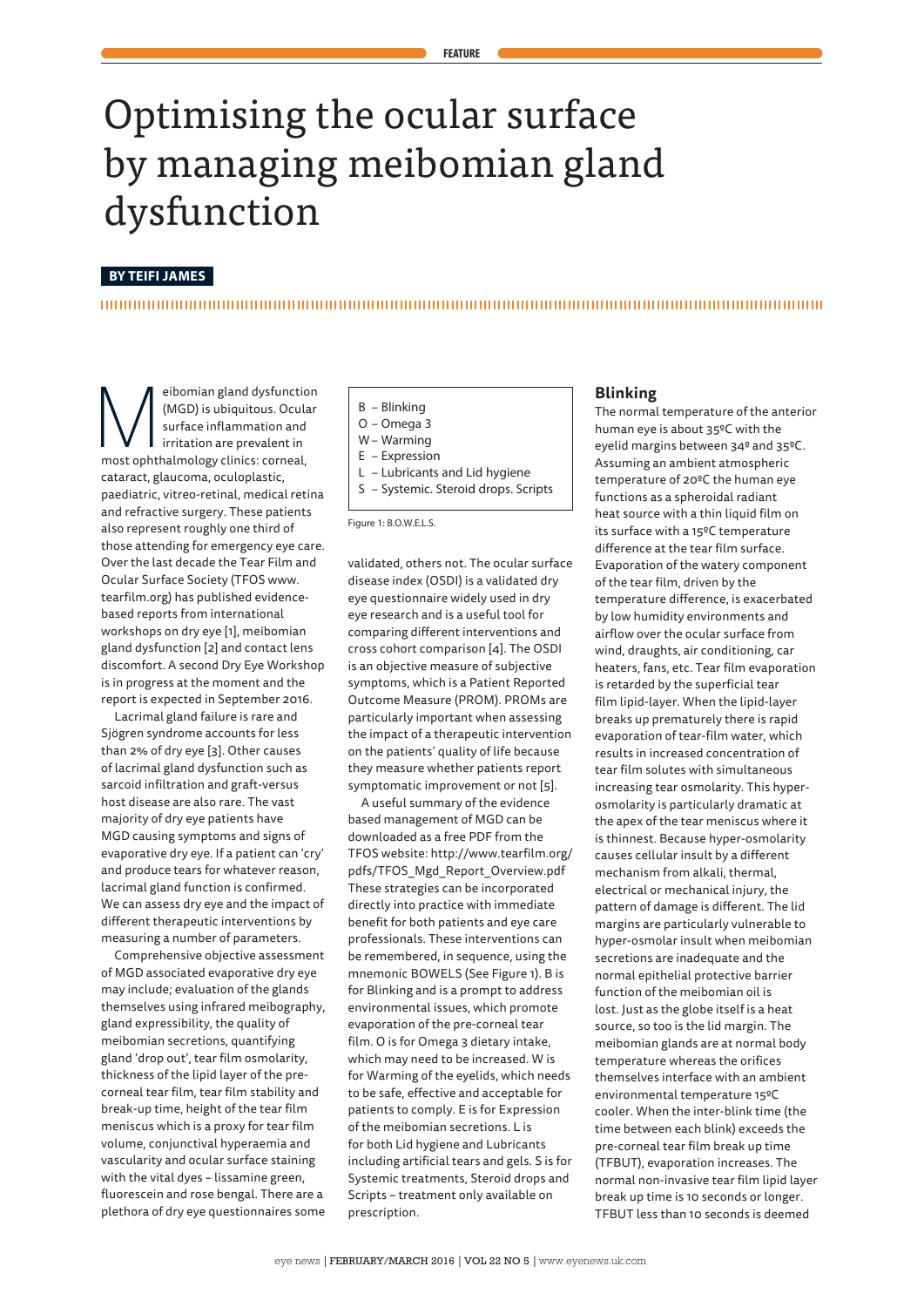# Optimising the ocular surface by managing meibomian gland dysfunction

# **BY TEIFI JAMES**

eibomian gland dysfunction<br>
(MGD) is ubiquitous. Ocular<br>
surface inflammation and<br>
irritation are prevalent in<br>
most ophthalmology clinics: corneal, (MGD) is ubiquitous. Ocular surface inflammation and irritation are prevalent in cataract, glaucoma, oculoplastic, paediatric, vitreo-retinal, medical retina and refractive surgery. These patients also represent roughly one third of those attending for emergency eye care. Over the last decade the Tear Film and Ocular Surface Society (TFOS www. tearfilm.org) has published evidencebased reports from international workshops on dry eye [1], meibomian gland dysfunction [2] and contact lens discomfort. A second Dry Eye Workshop is in progress at the moment and the report is expected in September 2016.

Lacrimal gland failure is rare and Sjögren syndrome accounts for less than 2% of dry eye [3]. Other causes of lacrimal gland dysfunction such as sarcoid infiltration and graft-versus host disease are also rare. The vast majority of dry eye patients have MGD causing symptoms and signs of evaporative dry eye. If a patient can 'cry' and produce tears for whatever reason, lacrimal gland function is confirmed. We can assess dry eye and the impact of different therapeutic interventions by measuring a number of parameters.

Comprehensive objective assessment of MGD associated evaporative dry eye may include; evaluation of the glands themselves using infrared meibography, gland expressibility, the quality of meibomian secretions, quantifying gland 'drop out', tear film osmolarity, thickness of the lipid layer of the precorneal tear film, tear film stability and break-up time, height of the tear film meniscus which is a proxy for tear film volume, conjunctival hyperaemia and vascularity and ocular surface staining with the vital dyes – lissamine green, fluorescein and rose bengal. There are a plethora of dry eye questionnaires some

- B Blinking
- O Omega 3
- W Warming
- E Expression
- 
- L Lubricants and Lid hygiene S – Systemic. Steroid drops. Scripts
- Figure 1: B.O.W.E.L.S.

validated, others not. The ocular surface disease index (OSDI) is a validated dry eye questionnaire widely used in dry eye research and is a useful tool for comparing different interventions and cross cohort comparison [4]. The OSDI is an objective measure of subjective symptoms, which is a Patient Reported Outcome Measure (PROM). PROMs are particularly important when assessing the impact of a therapeutic intervention on the patients' quality of life because they measure whether patients report symptomatic improvement or not [5].

A useful summary of the evidence based management of MGD can be downloaded as a free PDF from the TFOS website: http://www.tearfilm.org/ pdfs/TFOS\_Mgd\_Report\_Overview.pdf These strategies can be incorporated directly into practice with immediate benefit for both patients and eye care professionals. These interventions can be remembered, in sequence, using the mnemonic BOWELS (See Figure 1). B is for Blinking and is a prompt to address environmental issues, which promote evaporation of the pre-corneal tear film. O is for Omega 3 dietary intake, which may need to be increased. W is for Warming of the eyelids, which needs to be safe, effective and acceptable for patients to comply. E is for Expression of the meibomian secretions. L is for both Lid hygiene and Lubricants including artificial tears and gels. S is for Systemic treatments, Steroid drops and Scripts – treatment only available on prescription.

# **Blinking**

The normal temperature of the anterior human eye is about 35ºC with the eyelid margins between 34º and 35ºC. Assuming an ambient atmospheric temperature of 20ºC the human eye functions as a spheroidal radiant heat source with a thin liquid film on its surface with a 15ºC temperature difference at the tear film surface. Evaporation of the watery component of the tear film, driven by the temperature difference, is exacerbated by low humidity environments and airflow over the ocular surface from wind, draughts, air conditioning, car heaters, fans, etc. Tear film evaporation is retarded by the superficial tear film lipid-layer. When the lipid-layer breaks up prematurely there is rapid evaporation of tear-film water, which results in increased concentration of tear film solutes with simultaneous increasing tear osmolarity. This hyperosmolarity is particularly dramatic at the apex of the tear meniscus where it is thinnest. Because hyper-osmolarity causes cellular insult by a different mechanism from alkali, thermal, electrical or mechanical injury, the pattern of damage is different. The lid margins are particularly vulnerable to hyper-osmolar insult when meibomian secretions are inadequate and the normal epithelial protective barrier function of the meibomian oil is lost. Just as the globe itself is a heat source, so too is the lid margin. The meibomian glands are at normal body temperature whereas the orifices themselves interface with an ambient environmental temperature 15ºC cooler. When the inter-blink time (the time between each blink) exceeds the pre-corneal tear film break up time (TFBUT), evaporation increases. The normal non-invasive tear film lipid layer break up time is 10 seconds or longer. TFBUT less than 10 seconds is deemed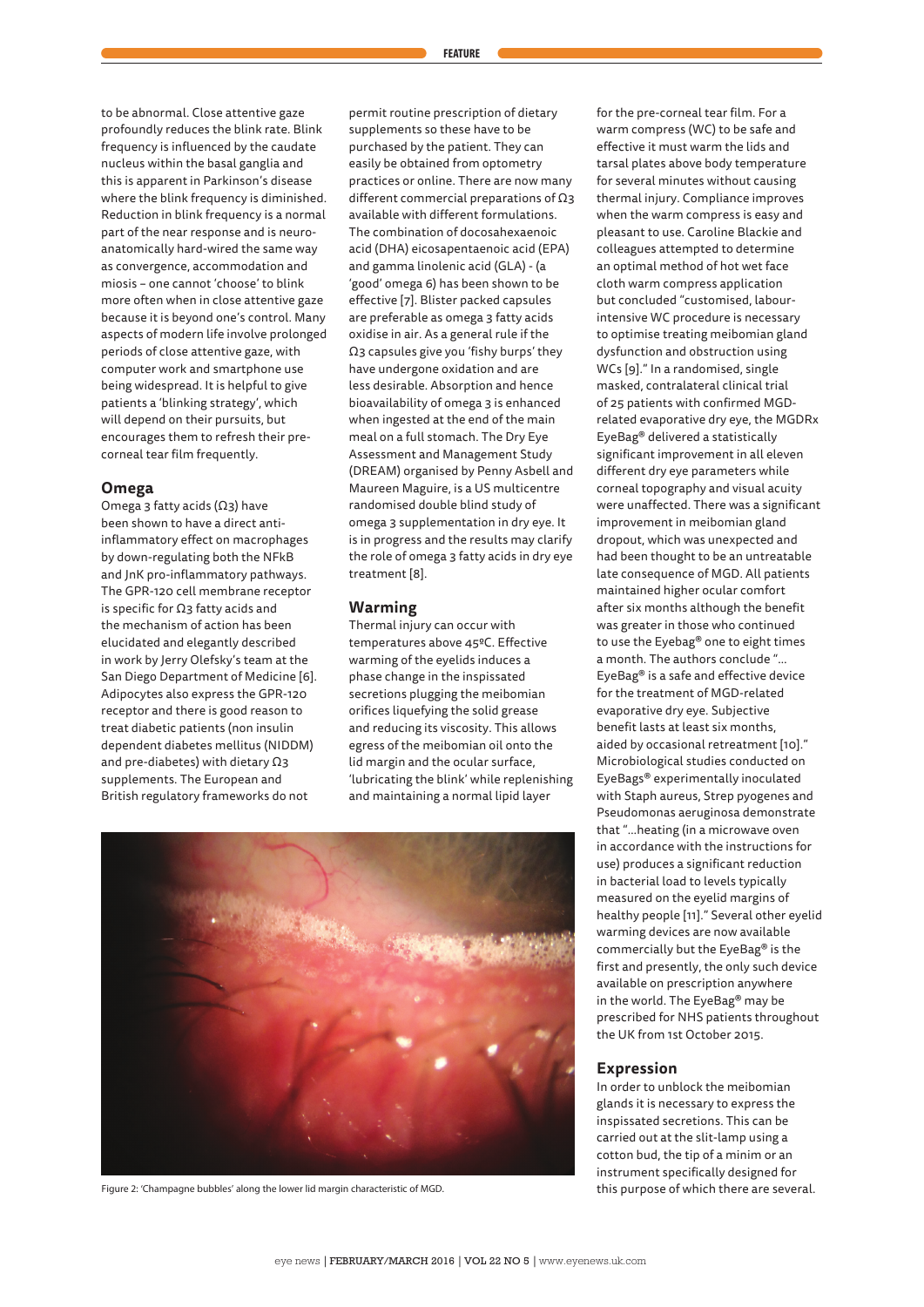to be abnormal. Close attentive gaze profoundly reduces the blink rate. Blink frequency is influenced by the caudate nucleus within the basal ganglia and this is apparent in Parkinson's disease where the blink frequency is diminished. Reduction in blink frequency is a normal part of the near response and is neuroanatomically hard-wired the same way as convergence, accommodation and miosis – one cannot 'choose' to blink more often when in close attentive gaze because it is beyond one's control. Many aspects of modern life involve prolonged periods of close attentive gaze, with computer work and smartphone use being widespread. It is helpful to give patients a 'blinking strategy', which will depend on their pursuits, but encourages them to refresh their precorneal tear film frequently.

# **Omega**

Omega 3 fatty acids (Ω3) have been shown to have a direct antiinflammatory effect on macrophages by down-regulating both the NFkB and JnK pro-inflammatory pathways. The GPR-120 cell membrane receptor is specific for Ω3 fatty acids and the mechanism of action has been elucidated and elegantly described in work by Jerry Olefsky's team at the San Diego Department of Medicine [6]. Adipocytes also express the GPR-120 receptor and there is good reason to treat diabetic patients (non insulin dependent diabetes mellitus (NIDDM) and pre-diabetes) with dietary Ω3 supplements. The European and British regulatory frameworks do not

permit routine prescription of dietary supplements so these have to be purchased by the patient. They can easily be obtained from optometry practices or online. There are now many different commercial preparations of Ω3 available with different formulations. The combination of docosahexaenoic acid (DHA) eicosapentaenoic acid (EPA) and gamma linolenic acid (GLA) - (a 'good' omega 6) has been shown to be effective [7]. Blister packed capsules are preferable as omega 3 fatty acids oxidise in air. As a general rule if the Ω3 capsules give you 'fishy burps' they have undergone oxidation and are less desirable. Absorption and hence bioavailability of omega 3 is enhanced when ingested at the end of the main meal on a full stomach. The Dry Eye Assessment and Management Study (DREAM) organised by Penny Asbell and Maureen Maguire, is a US multicentre randomised double blind study of omega 3 supplementation in dry eye. It is in progress and the results may clarify the role of omega 3 fatty acids in dry eye treatment [8].

## **Warming**

Thermal injury can occur with temperatures above 45ºC. Effective warming of the eyelids induces a phase change in the inspissated secretions plugging the meibomian orifices liquefying the solid grease and reducing its viscosity. This allows egress of the meibomian oil onto the lid margin and the ocular surface, 'lubricating the blink' while replenishing and maintaining a normal lipid layer



Figure 2: 'Champagne bubbles' along the lower lid margin characteristic of MGD. This purpose of which there are several.

for the pre-corneal tear film. For a warm compress (WC) to be safe and effective it must warm the lids and tarsal plates above body temperature for several minutes without causing thermal injury. Compliance improves when the warm compress is easy and pleasant to use. Caroline Blackie and colleagues attempted to determine an optimal method of hot wet face cloth warm compress application but concluded "customised, labourintensive WC procedure is necessary to optimise treating meibomian gland dysfunction and obstruction using WCs [9]." In a randomised, single masked, contralateral clinical trial of 25 patients with confirmed MGDrelated evaporative dry eye, the MGDRx EyeBag® delivered a statistically significant improvement in all eleven different dry eye parameters while corneal topography and visual acuity were unaffected. There was a significant improvement in meibomian gland dropout, which was unexpected and had been thought to be an untreatable late consequence of MGD. All patients maintained higher ocular comfort after six months although the benefit was greater in those who continued to use the Eyebag® one to eight times a month. The authors conclude "… EyeBag® is a safe and effective device for the treatment of MGD-related evaporative dry eye. Subjective benefit lasts at least six months, aided by occasional retreatment [10]." Microbiological studies conducted on EyeBags® experimentally inoculated with Staph aureus, Strep pyogenes and Pseudomonas aeruginosa demonstrate that "…heating (in a microwave oven in accordance with the instructions for use) produces a significant reduction in bacterial load to levels typically measured on the eyelid margins of healthy people [11]." Several other eyelid warming devices are now available commercially but the EyeBag® is the first and presently, the only such device available on prescription anywhere in the world. The EyeBag® may be prescribed for NHS patients throughout the UK from 1st October 2015.

#### **Expression**

In order to unblock the meibomian glands it is necessary to express the inspissated secretions. This can be carried out at the slit-lamp using a cotton bud, the tip of a minim or an instrument specifically designed for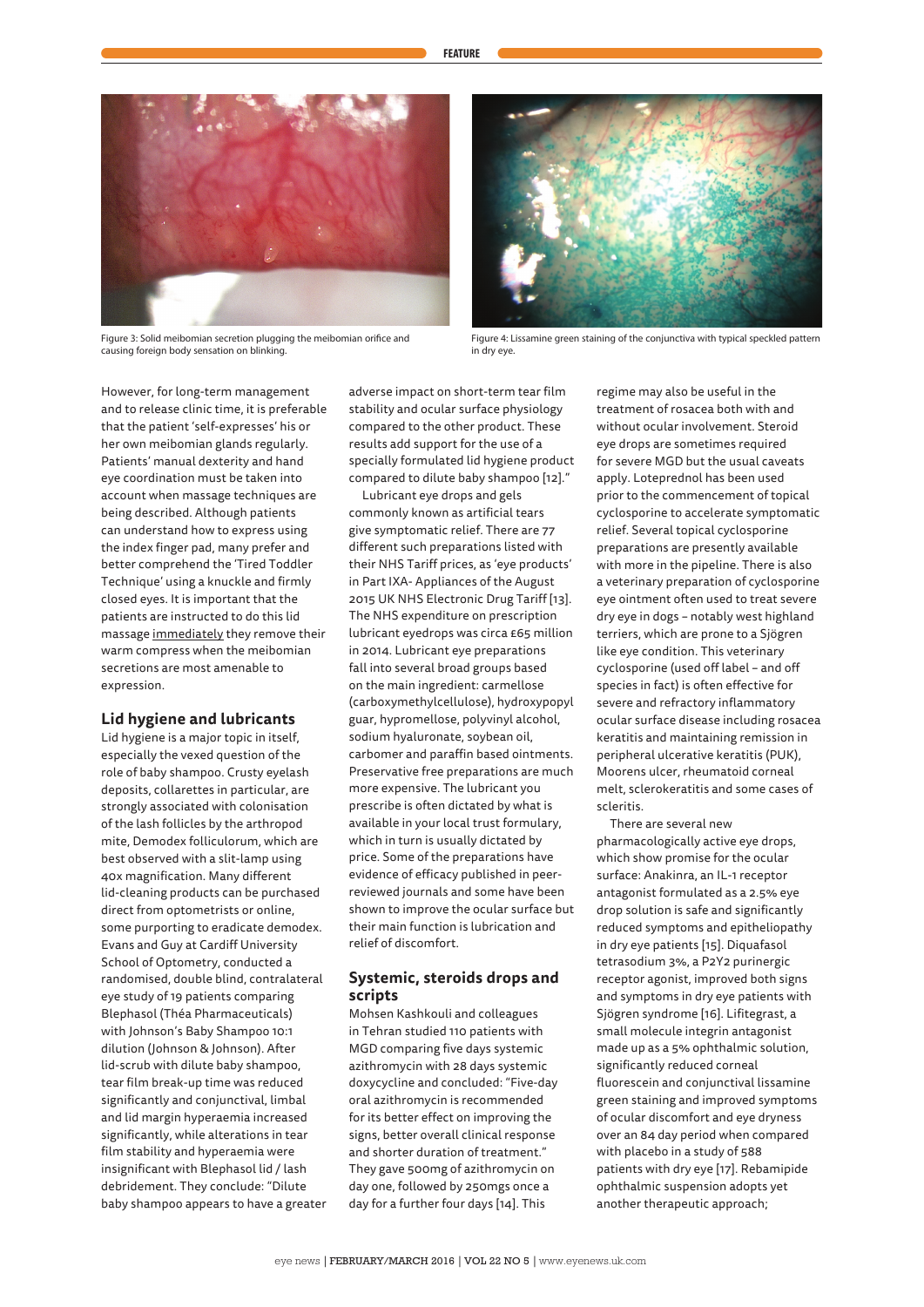

Figure 3: Solid meibomian secretion plugging the meibomian orifice and causing foreign body sensation on blinking.



Figure 4: Lissamine green staining of the conjunctiva with typical speckled pattern in dry eye.

However, for long-term management and to release clinic time, it is preferable that the patient 'self-expresses' his or her own meibomian glands regularly. Patients' manual dexterity and hand eye coordination must be taken into account when massage techniques are being described. Although patients can understand how to express using the index finger pad, many prefer and better comprehend the 'Tired Toddler Technique' using a knuckle and firmly closed eyes. It is important that the patients are instructed to do this lid massage immediately they remove their warm compress when the meibomian secretions are most amenable to expression.

# **Lid hygiene and lubricants**

Lid hygiene is a major topic in itself, especially the vexed question of the role of baby shampoo. Crusty eyelash deposits, collarettes in particular, are strongly associated with colonisation of the lash follicles by the arthropod mite, Demodex folliculorum, which are best observed with a slit-lamp using 40x magnification. Many different lid-cleaning products can be purchased direct from optometrists or online, some purporting to eradicate demodex. Evans and Guy at Cardiff University School of Optometry, conducted a randomised, double blind, contralateral eye study of 19 patients comparing Blephasol (Théa Pharmaceuticals) with Johnson's Baby Shampoo 10:1 dilution (Johnson & Johnson). After lid-scrub with dilute baby shampoo, tear film break-up time was reduced significantly and conjunctival, limbal and lid margin hyperaemia increased significantly, while alterations in tear film stability and hyperaemia were insignificant with Blephasol lid / lash debridement. They conclude: "Dilute baby shampoo appears to have a greater adverse impact on short-term tear film stability and ocular surface physiology compared to the other product. These results add support for the use of a specially formulated lid hygiene product compared to dilute baby shampoo [12]."

Lubricant eye drops and gels commonly known as artificial tears give symptomatic relief. There are 77 different such preparations listed with their NHS Tariff prices, as 'eye products' in Part IXA- Appliances of the August 2015 UK NHS Electronic Drug Tariff [13]. The NHS expenditure on prescription lubricant eyedrops was circa £65 million in 2014. Lubricant eye preparations fall into several broad groups based on the main ingredient: carmellose (carboxymethylcellulose), hydroxypopyl guar, hypromellose, polyvinyl alcohol, sodium hyaluronate, soybean oil, carbomer and paraffin based ointments. Preservative free preparations are much more expensive. The lubricant you prescribe is often dictated by what is available in your local trust formulary, which in turn is usually dictated by price. Some of the preparations have evidence of efficacy published in peerreviewed journals and some have been shown to improve the ocular surface but their main function is lubrication and relief of discomfort.

# **Systemic, steroids drops and scripts**

Mohsen Kashkouli and colleagues in Tehran studied 110 patients with MGD comparing five days systemic azithromycin with 28 days systemic doxycycline and concluded: "Five-day oral azithromycin is recommended for its better effect on improving the signs, better overall clinical response and shorter duration of treatment." They gave 500mg of azithromycin on day one, followed by 250mgs once a day for a further four days [14]. This

regime may also be useful in the treatment of rosacea both with and without ocular involvement. Steroid eye drops are sometimes required for severe MGD but the usual caveats apply. Loteprednol has been used prior to the commencement of topical cyclosporine to accelerate symptomatic relief. Several topical cyclosporine preparations are presently available with more in the pipeline. There is also a veterinary preparation of cyclosporine eye ointment often used to treat severe dry eye in dogs – notably west highland terriers, which are prone to a Sjögren like eye condition. This veterinary cyclosporine (used off label – and off species in fact) is often effective for severe and refractory inflammatory ocular surface disease including rosacea keratitis and maintaining remission in peripheral ulcerative keratitis (PUK), Moorens ulcer, rheumatoid corneal melt, sclerokeratitis and some cases of scleritis.

There are several new pharmacologically active eye drops, which show promise for the ocular surface: Anakinra, an IL-1 receptor antagonist formulated as a 2.5% eye drop solution is safe and significantly reduced symptoms and epitheliopathy in dry eye patients [15]. Diquafasol tetrasodium 3%, a P2Y2 purinergic receptor agonist, improved both signs and symptoms in dry eye patients with Sjögren syndrome [16]. Lifitegrast, a small molecule integrin antagonist made up as a 5% ophthalmic solution, significantly reduced corneal fluorescein and conjunctival lissamine green staining and improved symptoms of ocular discomfort and eye dryness over an 84 day period when compared with placebo in a study of 588 patients with dry eye [17]. Rebamipide ophthalmic suspension adopts yet another therapeutic approach;